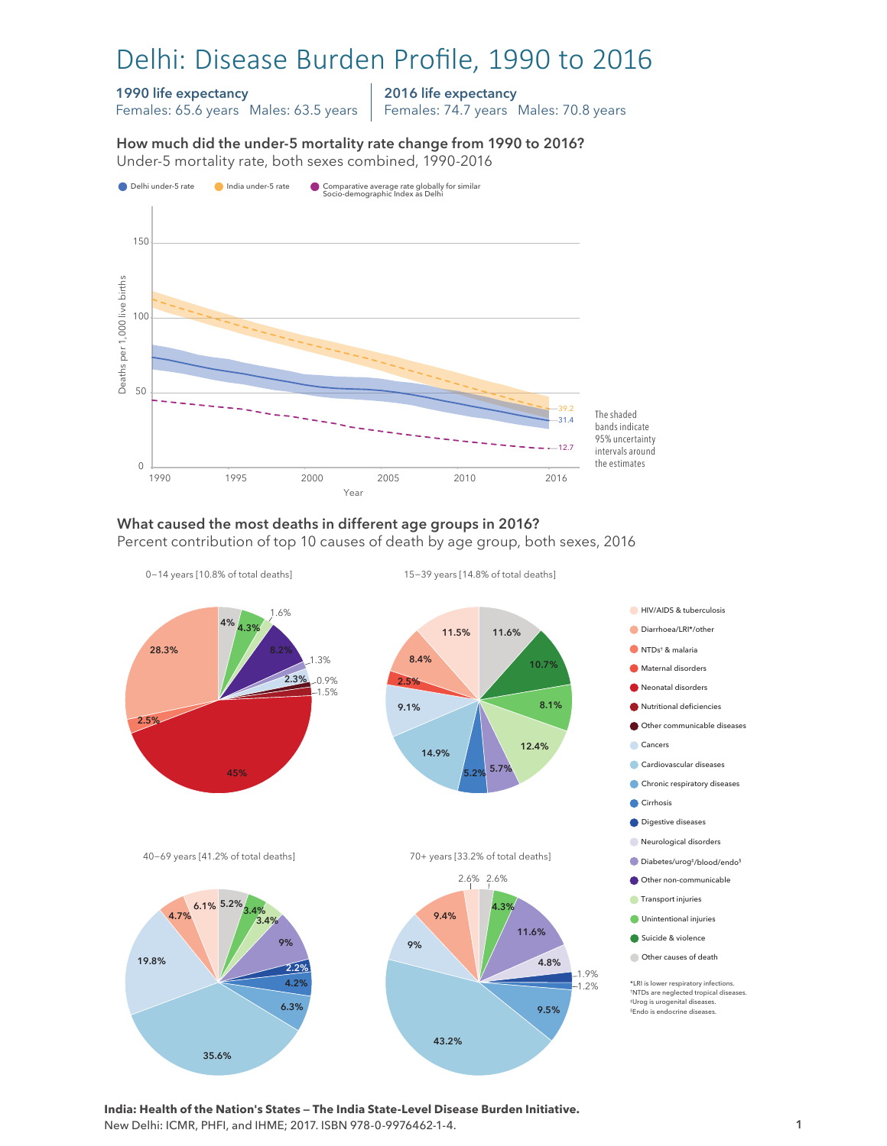# Delhi: Disease Burden Profile, 1990 to 2016

### 1990 life expectancy

Females: 65.6 years Males: 63.5 years

2016 life expectancy Females: 74.7 years Males: 70.8 years

How much did the under-5 mortality rate change from 1990 to 2016? Under-5 mortality rate, both sexes combined, 1990-2016 Under-5 mortality rate, both sexes combined, 1990-2016 How much did the under-5 mortality rate change from 1990 to 2016?



## What caused the most deaths in different age groups in 2016?

Percent contribution of top 10 causes of death by age group, both sexes, 2016



**India: Health of the Nation's States — The India State-Level Disease Burden Initiative.**  New Delhi: ICMR, PHFI, and IHME; 2017. ISBN 978-0-9976462-1-4.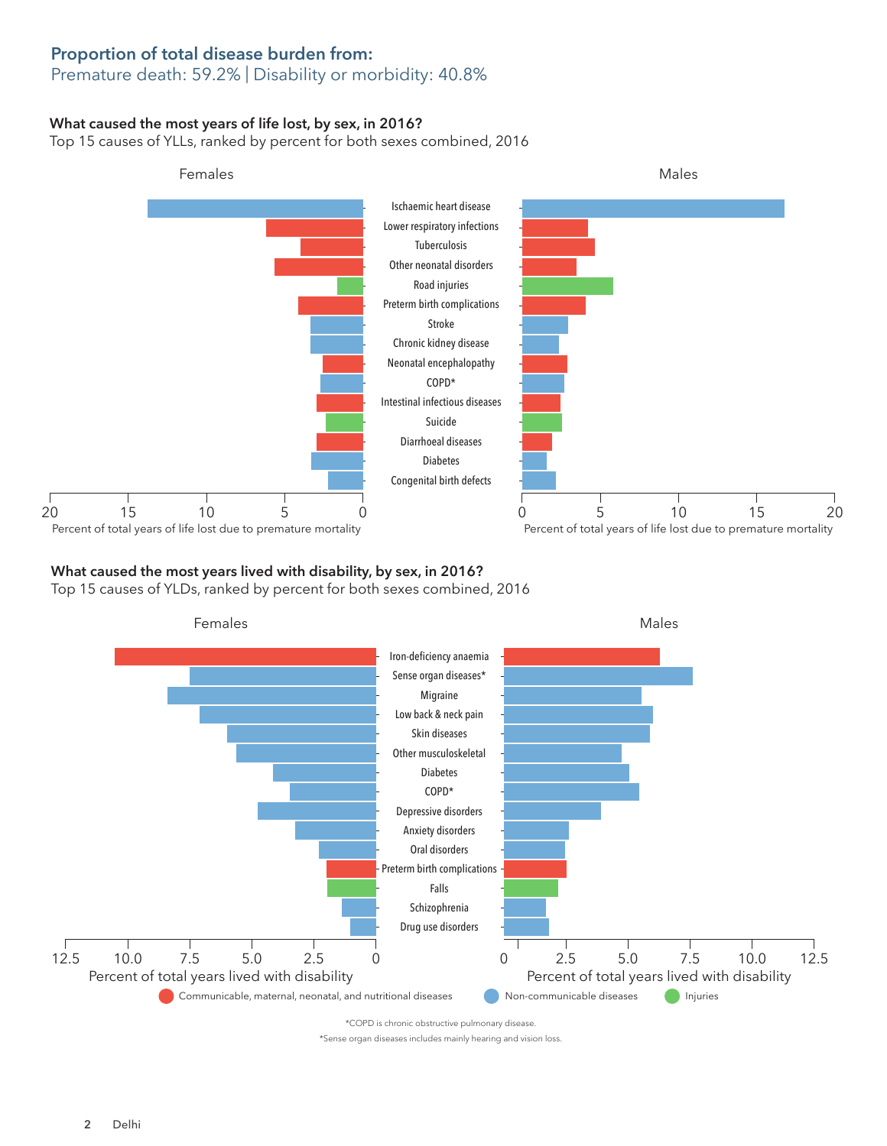## Proportion of total disease burden from:

## Premature death: 59.2% | Disability or morbidity: 40.8%

### What caused the most years of life lost, by sex, in 2016?

Top 15 causes of YLLs, ranked by percent for both sexes combined, 2016



## What caused the most years lived with disability, by sex, in 2016?

Top 15 causes of YLDs, ranked by percent for both sexes combined, 2016



\*COPD is chronic obstructive pulmonary disease.

\*Sense organ diseases includes mainly hearing and vision loss.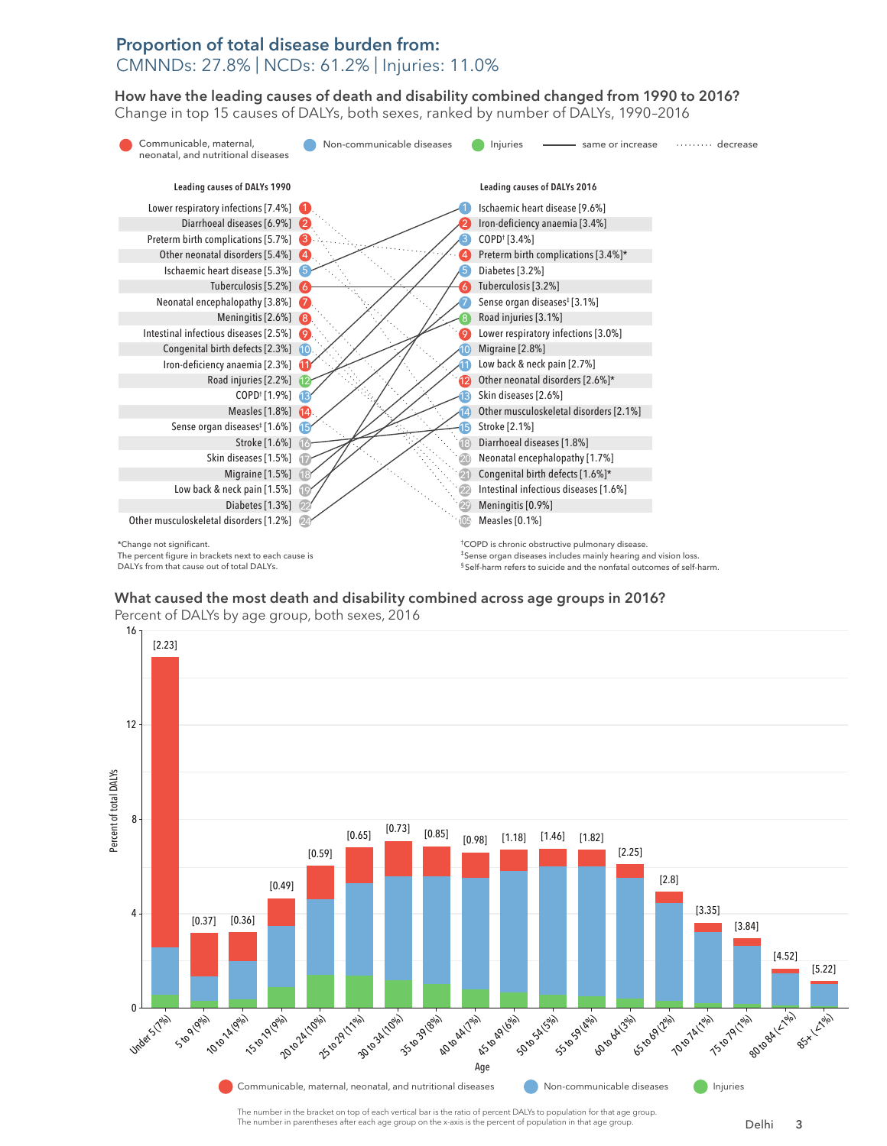## Proportion of total disease burden from: CMNNDs: 27.8% | NCDs: 61.2% | Injuries: 11.0%

How have the leading causes of death and disability combined changed from 1990 to 2016? How have the leading causes of death and disability combined changed from 1990 to 2016? Change in top 15 causes of DALYs, both sexes, ranked by number of DALYs, 1990–2016 Change top 15 causes of DALYs, both sexes, ranked by number of DALYs, 1990–2016



What caused the most death and disability combined across age groups in 2016? What caused the most death and disability combined across age groups in 2016?



Percent of DALYs by age group, both sexes, 2016 Percent of DALYs by age group, both sexes, 2016

The number in the bracket on top of each vertical bar is the ratio of percent DALYs to population for that age group. The number in parentheses after each age group on the x-axis is the percent of population in that age group.